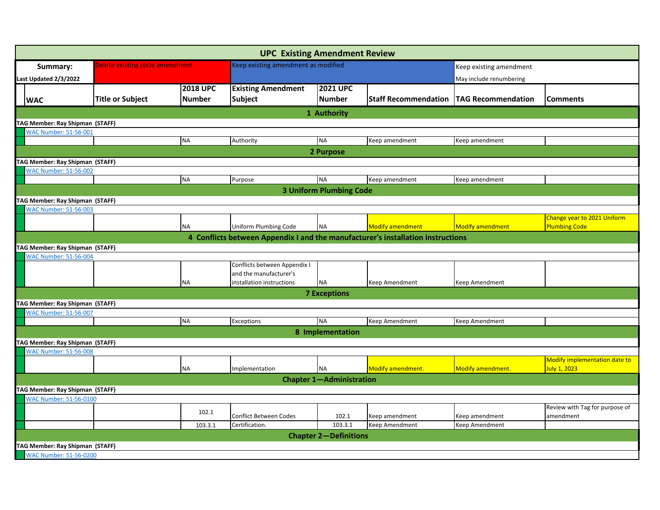|                                        |                                 |                 | <b>UPC Existing Amendment Review</b> |                                     |                                                                                 |                           |                                |
|----------------------------------------|---------------------------------|-----------------|--------------------------------------|-------------------------------------|---------------------------------------------------------------------------------|---------------------------|--------------------------------|
| Summary:                               | Delete existing state amendment |                 |                                      | Keep existing amendment as modified |                                                                                 | Keep existing amendment   |                                |
| Last Updated 2/3/2022                  |                                 |                 |                                      |                                     | May include renumbering                                                         |                           |                                |
|                                        |                                 | <b>2018 UPC</b> | <b>Existing Amendment</b>            | <b>2021 UPC</b>                     |                                                                                 |                           |                                |
| <b>WAC</b>                             | <b>Title or Subject</b>         | <b>Number</b>   | <b>Subject</b>                       | <b>Number</b>                       | <b>Staff Recommendation</b>                                                     | <b>TAG Recommendation</b> | <b>Comments</b>                |
|                                        |                                 |                 |                                      | 1 Authority                         |                                                                                 |                           |                                |
| TAG Member: Ray Shipman (STAFF)        |                                 |                 |                                      |                                     |                                                                                 |                           |                                |
| WAC Number: 51-56-001                  |                                 |                 |                                      |                                     |                                                                                 |                           |                                |
|                                        |                                 | <b>NA</b>       | Authority                            | <b>NA</b>                           | Keep amendment                                                                  | Keep amendment            |                                |
|                                        |                                 |                 |                                      | 2 Purpose                           |                                                                                 |                           |                                |
| TAG Member: Ray Shipman (STAFF)        |                                 |                 |                                      |                                     |                                                                                 |                           |                                |
| <b>WAC Number: 51-56-002</b>           |                                 |                 |                                      |                                     |                                                                                 |                           |                                |
|                                        |                                 | <b>NA</b>       | Purpose                              | <b>NA</b>                           | Keep amendment                                                                  | Keep amendment            |                                |
|                                        |                                 |                 |                                      | <b>3 Uniform Plumbing Code</b>      |                                                                                 |                           |                                |
| TAG Member: Ray Shipman (STAFF)        |                                 |                 |                                      |                                     |                                                                                 |                           |                                |
| <b>WAC Number: 51-56-003</b>           |                                 |                 |                                      |                                     |                                                                                 |                           |                                |
|                                        |                                 |                 |                                      |                                     |                                                                                 |                           | Change year to 2021 Uniform    |
|                                        |                                 | <b>NA</b>       | Uniform Plumbing Code                | <b>NA</b>                           | <b>Modify amendment</b>                                                         | <b>Modify amendment</b>   | <b>Plumbing Code</b>           |
|                                        |                                 |                 |                                      |                                     | 4 Conflicts between Appendix I and the manufacturer's installation instructions |                           |                                |
| TAG Member: Ray Shipman (STAFF)        |                                 |                 |                                      |                                     |                                                                                 |                           |                                |
| <b>WAC Number: 51-56-004</b>           |                                 |                 |                                      |                                     |                                                                                 |                           |                                |
|                                        |                                 |                 | Conflicts between Appendix I         |                                     |                                                                                 |                           |                                |
|                                        |                                 |                 | and the manufacturer's               |                                     |                                                                                 |                           |                                |
|                                        |                                 | <b>NA</b>       | installation instructions            | <b>NA</b>                           | Keep Amendment                                                                  | Keep Amendment            |                                |
|                                        |                                 |                 |                                      | <b>7 Exceptions</b>                 |                                                                                 |                           |                                |
| <b>TAG Member: Ray Shipman (STAFF)</b> |                                 |                 |                                      |                                     |                                                                                 |                           |                                |
| <b>NAC Number: 51-56-007</b>           |                                 |                 |                                      |                                     |                                                                                 |                           |                                |
|                                        |                                 | <b>NA</b>       | Exceptions                           | <b>NA</b>                           | <b>Keep Amendment</b>                                                           | Keep Amendment            |                                |
|                                        |                                 |                 |                                      | 8 Implementation                    |                                                                                 |                           |                                |
| TAG Member: Ray Shipman (STAFF)        |                                 |                 |                                      |                                     |                                                                                 |                           |                                |
| <b>WAC Number: 51-56-008</b>           |                                 |                 |                                      |                                     |                                                                                 |                           |                                |
|                                        |                                 |                 |                                      |                                     |                                                                                 |                           | Modify implementation date to  |
|                                        |                                 | <b>NA</b>       | Implementation                       | <b>NA</b>                           | Modify amendment.                                                               | <b>Modify amendment.</b>  | July 1, 2023                   |
|                                        |                                 |                 |                                      | <b>Chapter 1-Administration</b>     |                                                                                 |                           |                                |
| TAG Member: Ray Shipman (STAFF)        |                                 |                 |                                      |                                     |                                                                                 |                           |                                |
| WAC Number: 51-56-0100                 |                                 |                 |                                      |                                     |                                                                                 |                           |                                |
|                                        |                                 | 102.1           |                                      |                                     |                                                                                 |                           | Review with Tag for purpose of |
|                                        |                                 |                 | Conflict Between Codes               | 102.1                               | Keep amendment                                                                  | Keep amendment            | amendment                      |
|                                        |                                 | 103.3.1         | Certification.                       | 103.3.1                             | Keep Amendment                                                                  | Keep Amendment            |                                |
|                                        |                                 |                 |                                      | <b>Chapter 2-Definitions</b>        |                                                                                 |                           |                                |
| TAG Member: Ray Shipman (STAFF)        |                                 |                 |                                      |                                     |                                                                                 |                           |                                |
| WAC Number: 51-56-0200                 |                                 |                 |                                      |                                     |                                                                                 |                           |                                |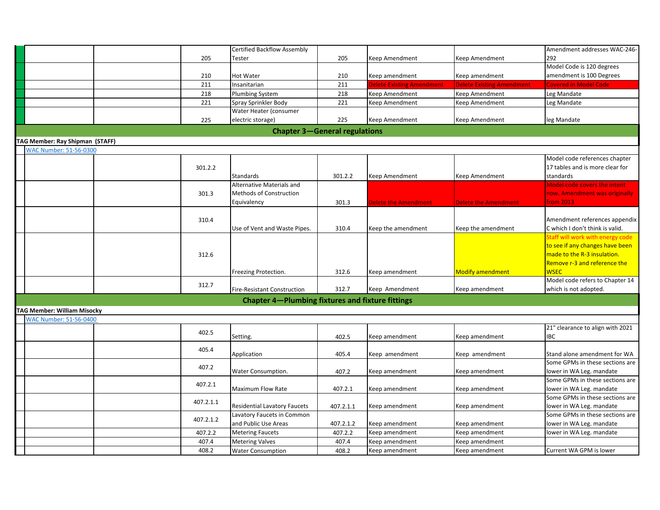|                                 |           | <b>Certified Backflow Assembly</b>                      |           |                                  |                                  | Amendment addresses WAC-246-                                |
|---------------------------------|-----------|---------------------------------------------------------|-----------|----------------------------------|----------------------------------|-------------------------------------------------------------|
|                                 | 205       | Tester                                                  | 205       | Keep Amendment                   | Keep Amendment                   | 292                                                         |
|                                 |           |                                                         |           |                                  |                                  | Model Code is 120 degrees                                   |
|                                 | 210       | Hot Water                                               | 210       | Keep amendment                   | Keep amendment                   | amendment is 100 Degrees                                    |
|                                 | 211       | Insanitarian                                            | 211       | <b>Delete Existing Amendment</b> | <b>Delete Existing Amendment</b> | <b>Covered in Model Code</b>                                |
|                                 | 218       | <b>Plumbing System</b>                                  | 218       | Keep Amendment                   | Keep Amendment                   | Leg Mandate                                                 |
|                                 | 221       | Spray Sprinkler Body                                    | 221       | Keep Amendment                   | Keep Amendment                   | Leg Mandate                                                 |
|                                 |           | Water Heater (consumer                                  |           |                                  |                                  |                                                             |
|                                 | 225       | electric storage)                                       | 225       | Keep Amendment                   | Keep Amendment                   | leg Mandate                                                 |
|                                 |           | <b>Chapter 3-General regulations</b>                    |           |                                  |                                  |                                                             |
| TAG Member: Ray Shipman (STAFF) |           |                                                         |           |                                  |                                  |                                                             |
| <b>WAC Number: 51-56-0300</b>   |           |                                                         |           |                                  |                                  |                                                             |
|                                 |           |                                                         |           |                                  |                                  | Model code references chapter                               |
|                                 | 301.2.2   |                                                         |           |                                  |                                  | 17 tables and is more clear for                             |
|                                 |           | Standards                                               | 301.2.2   | Keep Amendment                   | Keep Amendment                   | standards                                                   |
|                                 |           | Alternative Materials and                               |           |                                  |                                  | Model code covers the intent                                |
|                                 | 301.3     | Methods of Construction                                 |           |                                  |                                  | now. Amendment was originally                               |
|                                 |           | Equivalency                                             | 301.3     | Delete the Amendment             | Delete the Amendment             | from 2013                                                   |
|                                 |           |                                                         |           |                                  |                                  |                                                             |
|                                 | 310.4     |                                                         |           |                                  |                                  | Amendment references appendix                               |
|                                 |           | Use of Vent and Waste Pipes.                            | 310.4     | Keep the amendment               | Keep the amendment               | C which I don't think is valid.                             |
|                                 |           |                                                         |           |                                  |                                  | <b>Staff will work with energy code</b>                     |
|                                 |           |                                                         |           |                                  |                                  | to see if any changes have been                             |
|                                 | 312.6     |                                                         |           |                                  |                                  | made to the R-3 insulation.<br>Remove r-3 and reference the |
|                                 |           |                                                         | 312.6     | Keep amendment                   | Modify amendment                 | <b>WSEC</b>                                                 |
|                                 |           | Freezing Protection.                                    |           |                                  |                                  | Model code refers to Chapter 14                             |
|                                 | 312.7     | <b>Fire-Resistant Construction</b>                      | 312.7     | Keep Amendment                   | Keep amendment                   | which is not adopted.                                       |
|                                 |           |                                                         |           |                                  |                                  |                                                             |
|                                 |           | <b>Chapter 4-Plumbing fixtures and fixture fittings</b> |           |                                  |                                  |                                                             |
| TAG Member: William Misocky     |           |                                                         |           |                                  |                                  |                                                             |
| <b>WAC Number: 51-56-0400</b>   |           |                                                         |           |                                  |                                  |                                                             |
|                                 | 402.5     |                                                         |           |                                  |                                  | 21" clearance to align with 2021                            |
|                                 |           | Setting.                                                | 402.5     | Keep amendment                   | Keep amendment                   | IBC                                                         |
|                                 | 405.4     | Application                                             | 405.4     | Keep amendment                   | Keep amendment                   | Stand alone amendment for WA                                |
|                                 | 407.2     |                                                         |           |                                  |                                  | Some GPMs in these sections are                             |
|                                 |           | Water Consumption.                                      | 407.2     | Keep amendment                   | Keep amendment                   | lower in WA Leg. mandate                                    |
|                                 | 407.2.1   |                                                         |           |                                  |                                  | Some GPMs in these sections are                             |
|                                 |           | <b>Maximum Flow Rate</b>                                | 407.2.1   | Keep amendment                   | Keep amendment                   | lower in WA Leg. mandate                                    |
|                                 | 407.2.1.1 |                                                         |           |                                  |                                  | Some GPMs in these sections are                             |
|                                 |           | <b>Residential Lavatory Faucets</b>                     | 407.2.1.1 | Keep amendment                   | Keep amendment                   | lower in WA Leg. mandate                                    |
|                                 | 407.2.1.2 | Lavatory Faucets in Common                              |           |                                  |                                  | Some GPMs in these sections are                             |
|                                 |           | and Public Use Areas                                    | 407.2.1.2 | Keep amendment                   | Keep amendment                   | lower in WA Leg. mandate                                    |
|                                 | 407.2.2   | <b>Metering Faucets</b>                                 | 407.2.2   | Keep amendment                   | Keep amendment                   | lower in WA Leg. mandate                                    |
|                                 | 407.4     | <b>Metering Valves</b>                                  | 407.4     | Geep amendment                   | Keep amendment                   |                                                             |
|                                 | 408.2     | <b>Water Consumption</b>                                | 408.2     | Keep amendment                   | Keep amendment                   | Current WA GPM is lower                                     |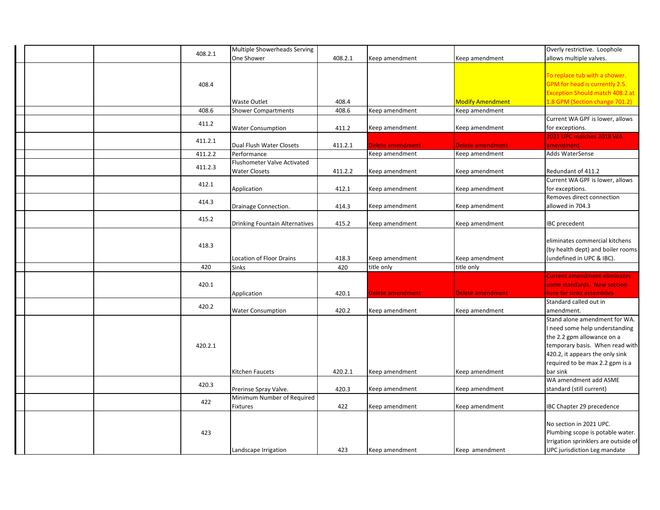|  | 408.2.1 | Multiple Showerheads Serving          |         |                  |                         | Overly restrictive. Loophole           |
|--|---------|---------------------------------------|---------|------------------|-------------------------|----------------------------------------|
|  |         | One Shower                            | 408.2.1 | Keep amendment   | Keep amendment          | allows multiple valves.                |
|  |         |                                       |         |                  |                         |                                        |
|  |         |                                       |         |                  |                         | To replace tub with a shower.          |
|  | 408.4   |                                       |         |                  |                         | GPM for head is currently 2.5.         |
|  |         |                                       |         |                  |                         | <b>Exception Should match 408.2 at</b> |
|  |         | Waste Outlet                          | 408.4   |                  | <b>Modify Amendment</b> | 1.8 GPM (Section change 701.2)         |
|  | 408.6   | <b>Shower Compartments</b>            | 408.6   | Keep amendment   | Keep amendment          |                                        |
|  |         |                                       |         |                  |                         | Current WA GPF is lower, allows        |
|  | 411.2   | <b>Water Consumption</b>              | 411.2   | Keep amendment   | Keep amendment          | for exceptions.                        |
|  |         |                                       |         |                  |                         | 2021 UPC matches 2018 WA               |
|  | 411.2.1 | Dual Flush Water Closets              | 411.2.1 | Delete amendment | Delete amendment        | amendment                              |
|  | 411.2.2 | Performance                           |         | Keep amendment   | Keep amendment          | Adds WaterSense                        |
|  |         | <b>Flushometer Valve Activated</b>    |         |                  |                         |                                        |
|  | 411.2.3 | <b>Water Closets</b>                  | 411.2.2 | Keep amendment   | Keep amendment          | Redundant of 411.2                     |
|  |         |                                       |         |                  |                         | Current WA GPF is lower, allows        |
|  | 412.1   | Application                           | 412.1   | Keep amendment   | Keep amendment          | for exceptions.                        |
|  |         |                                       |         |                  |                         | Removes direct connection              |
|  | 414.3   | Drainage Connection.                  | 414.3   | Keep amendment   | Keep amendment          | allowed in 704.3                       |
|  |         |                                       |         |                  |                         |                                        |
|  | 415.2   | <b>Drinking Fountain Alternatives</b> | 415.2   | Keep amendment   | Keep amendment          | <b>IBC</b> precedent                   |
|  |         |                                       |         |                  |                         |                                        |
|  |         |                                       |         |                  |                         | eliminates commercial kitchens         |
|  | 418.3   |                                       |         |                  |                         | (by health dept) and boiler rooms      |
|  |         | <b>Location of Floor Drains</b>       | 418.3   | Keep amendment   | Keep amendment          | (undefined in UPC & IBC).              |
|  | 420     | <b>Sinks</b>                          | 420     | title only       | title only              |                                        |
|  |         |                                       |         |                  |                         | Current amendment eliminates           |
|  | 420.1   |                                       |         |                  |                         | some standards. New section            |
|  |         |                                       |         | Delete amendment | Delete amendment        | here for sinks assemblies              |
|  |         | Application                           | 420.1   |                  |                         |                                        |
|  | 420.2   |                                       |         |                  |                         | Standard called out in                 |
|  |         | <b>Water Consumption</b>              | 420.2   | Keep amendment   | Keep amendment          | amendment.                             |
|  |         |                                       |         |                  |                         | Stand alone amendment for WA.          |
|  |         |                                       |         |                  |                         | I need some help understanding         |
|  |         |                                       |         |                  |                         | the 2.2 gpm allowance on a             |
|  | 420.2.1 |                                       |         |                  |                         | temporary basis. When read with        |
|  |         |                                       |         |                  |                         | 420.2, it appears the only sink        |
|  |         |                                       |         |                  |                         | required to be max 2.2 gpm is a        |
|  |         | Kitchen Faucets                       | 420.2.1 | Keep amendment   | Keep amendment          | bar sink                               |
|  | 420.3   |                                       |         |                  |                         | WA amendment add ASME                  |
|  |         | Prerinse Spray Valve.                 | 420.3   | Keep amendment   | Keep amendment          | standard (still current)               |
|  | 422     | Minimum Number of Required            |         |                  |                         |                                        |
|  |         | <b>Fixtures</b>                       | 422     | Keep amendment   | Keep amendment          | IBC Chapter 29 precedence              |
|  |         |                                       |         |                  |                         |                                        |
|  |         |                                       |         |                  |                         | No section in 2021 UPC.                |
|  | 423     |                                       |         |                  |                         | Plumbing scope is potable water.       |
|  |         |                                       |         |                  |                         | Irrigation sprinklers are outside of   |
|  |         | Landscape Irrigation                  | 423     | Keep amendment   | Keep amendment          | UPC jurisdiction Leg mandate           |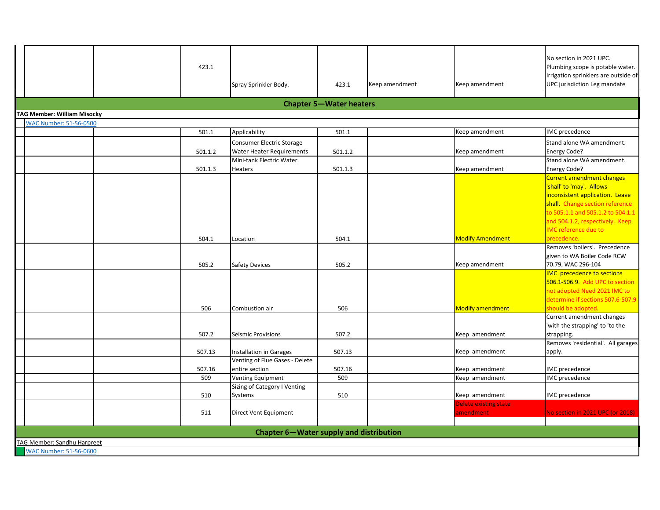| TAG Member: Sandhu Harpreet<br><b>WAC Number: 51-56-0600</b> |         |                                                           |                                |                |                              |                                                                     |
|--------------------------------------------------------------|---------|-----------------------------------------------------------|--------------------------------|----------------|------------------------------|---------------------------------------------------------------------|
|                                                              |         | Chapter 6-Water supply and distribution                   |                                |                |                              |                                                                     |
|                                                              |         |                                                           |                                |                |                              |                                                                     |
|                                                              | 511     | Direct Vent Equipment                                     |                                |                | amendment                    | No section in 2021 UPC (or 2018)                                    |
|                                                              |         |                                                           |                                |                | <b>Delete existing state</b> |                                                                     |
|                                                              | 510     | Systems                                                   | 510                            |                | Keep amendment               | IMC precedence                                                      |
|                                                              |         | Sizing of Category I Venting                              |                                |                |                              |                                                                     |
|                                                              | 509     | <b>Venting Equipment</b>                                  | 509                            |                | Keep amendment               | IMC precedence                                                      |
|                                                              | 507.16  | entire section                                            | 507.16                         |                | Keep amendment               | IMC precedence                                                      |
|                                                              | 507.13  | Installation in Garages<br>Venting of Flue Gases - Delete | 507.13                         |                | Keep amendment               | apply.                                                              |
|                                                              |         |                                                           |                                |                |                              | Removes 'residential'. All garages                                  |
|                                                              | 507.2   | Seismic Provisions                                        | 507.2                          |                | Keep amendment               | strapping.                                                          |
|                                                              |         |                                                           |                                |                |                              | 'with the strapping' to 'to the                                     |
|                                                              |         |                                                           |                                |                |                              | Current amendment changes                                           |
|                                                              | 506     | Combustion air                                            | 506                            |                | <b>Modify amendment</b>      | should be adopted.                                                  |
|                                                              |         |                                                           |                                |                |                              | determine if sections 507.6-507.9                                   |
|                                                              |         |                                                           |                                |                |                              | not adopted Need 2021 IMC to                                        |
|                                                              |         |                                                           |                                |                |                              | <b>IMC</b> precedence to sections<br>506.1-506.9 Add UPC to section |
|                                                              | 505.2   | <b>Safety Devices</b>                                     | 505.2                          |                | Keep amendment               | 70.79, WAC 296-104                                                  |
|                                                              |         |                                                           |                                |                |                              | given to WA Boiler Code RCW                                         |
|                                                              |         |                                                           |                                |                |                              | Removes 'boilers'. Precedence                                       |
|                                                              | 504.1   | Location                                                  | 504.1                          |                | <b>Modify Amendment</b>      | precedence.                                                         |
|                                                              |         |                                                           |                                |                |                              | <b>IMC</b> reference due to                                         |
|                                                              |         |                                                           |                                |                |                              | and 504.1.2, respectively. Keep                                     |
|                                                              |         |                                                           |                                |                |                              | to 505.1.1 and 505.1.2 to 504.1.1                                   |
|                                                              |         |                                                           |                                |                |                              | shall. Change section reference                                     |
|                                                              |         |                                                           |                                |                |                              | inconsistent application. Leave                                     |
|                                                              |         |                                                           |                                |                |                              | 'shall' to 'may'. Allows                                            |
|                                                              |         |                                                           |                                |                |                              | <b>Current amendment changes</b>                                    |
|                                                              | 501.1.3 | Heaters                                                   | 501.1.3                        |                | Keep amendment               | Energy Code?                                                        |
|                                                              |         | Mini-tank Electric Water                                  |                                |                |                              | Stand alone WA amendment.                                           |
|                                                              | 501.1.2 | <b>Water Heater Requirements</b>                          | 501.1.2                        |                | Keep amendment               | Energy Code?                                                        |
|                                                              |         | Consumer Electric Storage                                 |                                |                |                              | Stand alone WA amendment.                                           |
|                                                              | 501.1   | Applicability                                             | 501.1                          |                | Keep amendment               | IMC precedence                                                      |
| <b>WAC Number: 51-56-0500</b>                                |         |                                                           |                                |                |                              |                                                                     |
| <b>TAG Member: William Misocky</b>                           |         |                                                           |                                |                |                              |                                                                     |
|                                                              |         |                                                           | <b>Chapter 5-Water heaters</b> |                |                              |                                                                     |
|                                                              |         |                                                           |                                |                |                              |                                                                     |
|                                                              |         | Spray Sprinkler Body.                                     | 423.1                          | Keep amendment | Keep amendment               | UPC jurisdiction Leg mandate                                        |
|                                                              |         |                                                           |                                |                |                              | Irrigation sprinklers are outside of                                |
|                                                              | 423.1   |                                                           |                                |                |                              | Plumbing scope is potable water.                                    |
|                                                              |         |                                                           |                                |                |                              | No section in 2021 UPC.                                             |
|                                                              |         |                                                           |                                |                |                              |                                                                     |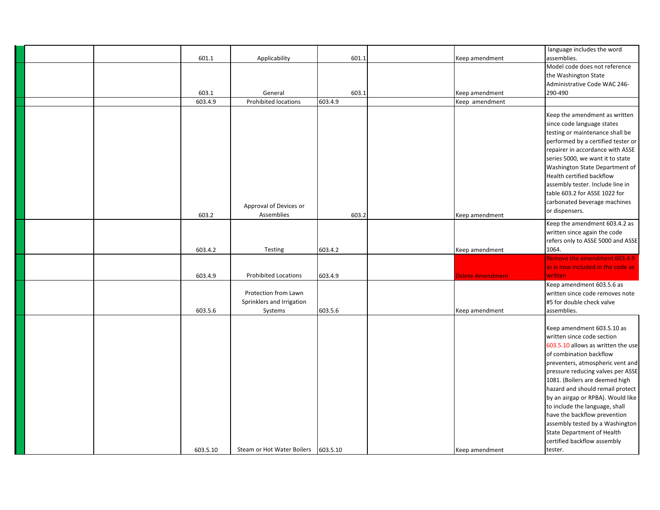|          |                                     |         |                  | language includes the word         |
|----------|-------------------------------------|---------|------------------|------------------------------------|
| 601.1    | Applicability                       | 601.1   | Keep amendment   | assemblies.                        |
|          |                                     |         |                  | Model code does not reference      |
|          |                                     |         |                  | the Washington State               |
|          |                                     |         |                  |                                    |
|          |                                     |         |                  | Administrative Code WAC 246-       |
| 603.1    | General                             | 603.1   | Keep amendment   | 290-490                            |
| 603.4.9  | Prohibited locations                | 603.4.9 | Keep amendment   |                                    |
|          |                                     |         |                  | Keep the amendment as written      |
|          |                                     |         |                  | since code language states         |
|          |                                     |         |                  | testing or maintenance shall be    |
|          |                                     |         |                  | performed by a certified tester or |
|          |                                     |         |                  | repairer in accordance with ASSE   |
|          |                                     |         |                  | series 5000, we want it to state   |
|          |                                     |         |                  | Washington State Department of     |
|          |                                     |         |                  | Health certified backflow          |
|          |                                     |         |                  | assembly tester. Include line in   |
|          |                                     |         |                  | table 603.2 for ASSE 1022 for      |
|          |                                     |         |                  | carbonated beverage machines       |
|          | Approval of Devices or              |         |                  |                                    |
| 603.2    | Assemblies                          | 603.2   | Keep amendment   | or dispensers.                     |
|          |                                     |         |                  | Keep the amendment 603.4.2 as      |
|          |                                     |         |                  | written since again the code       |
|          |                                     |         |                  | refers only to ASSE 5000 and ASSE  |
| 603.4.2  | Testing                             | 603.4.2 | Keep amendment   | 1064.                              |
|          |                                     |         |                  | Remove the amendment 603.4.9       |
|          |                                     |         |                  | as is now included in the code as  |
| 603.4.9  | <b>Prohibited Locations</b>         | 603.4.9 | Delete Amendment | written                            |
|          |                                     |         |                  | Keep amendment 603.5.6 as          |
|          | Protection from Lawn                |         |                  | written since code removes note    |
|          | Sprinklers and Irrigation           |         |                  | #5 for double check valve          |
| 603.5.6  | Systems                             | 603.5.6 | Keep amendment   | assemblies.                        |
|          |                                     |         |                  |                                    |
|          |                                     |         |                  | Keep amendment 603.5.10 as         |
|          |                                     |         |                  | written since code section         |
|          |                                     |         |                  | 603.5.10 allows as written the use |
|          |                                     |         |                  | of combination backflow            |
|          |                                     |         |                  | preventers, atmospheric vent and   |
|          |                                     |         |                  | pressure reducing valves per ASSE  |
|          |                                     |         |                  | 1081. (Boilers are deemed high     |
|          |                                     |         |                  | hazard and should remail protect   |
|          |                                     |         |                  | by an airgap or RPBA). Would like  |
|          |                                     |         |                  | to include the language, shall     |
|          |                                     |         |                  | have the backflow prevention       |
|          |                                     |         |                  | assembly tested by a Washington    |
|          |                                     |         |                  | <b>State Department of Health</b>  |
|          |                                     |         |                  | certified backflow assembly        |
| 603.5.10 | Steam or Hot Water Boilers 603.5.10 |         | Keep amendment   | tester.                            |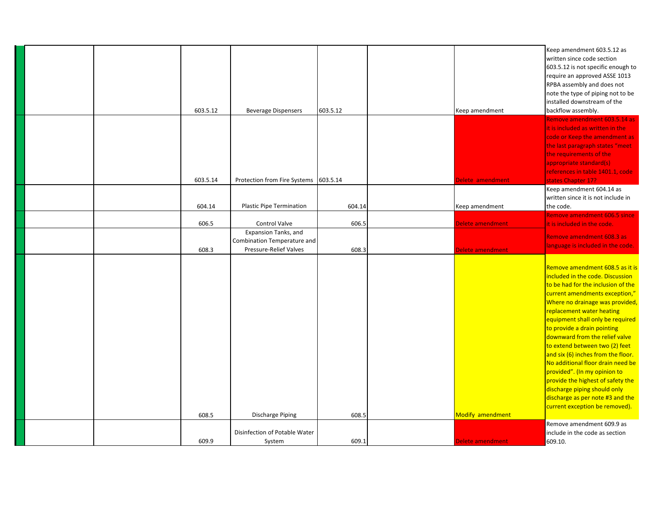|  |          |                                       |          |                  | Keep amendment 603.5.12 as                                        |
|--|----------|---------------------------------------|----------|------------------|-------------------------------------------------------------------|
|  |          |                                       |          |                  | written since code section                                        |
|  |          |                                       |          |                  | 603.5.12 is not specific enough to                                |
|  |          |                                       |          |                  | require an approved ASSE 1013                                     |
|  |          |                                       |          |                  | RPBA assembly and does not                                        |
|  |          |                                       |          |                  |                                                                   |
|  |          |                                       |          |                  | note the type of piping not to be                                 |
|  |          |                                       |          |                  | installed downstream of the                                       |
|  | 603.5.12 | <b>Beverage Dispensers</b>            | 603.5.12 | Keep amendment   | backflow assembly.                                                |
|  |          |                                       |          |                  | Remove amendment 603.5.14 as                                      |
|  |          |                                       |          |                  | it is included as written in the                                  |
|  |          |                                       |          |                  | code or Keep the amendment as                                     |
|  |          |                                       |          |                  | the last paragraph states "meet                                   |
|  |          |                                       |          |                  | the requirements of the                                           |
|  |          |                                       |          |                  | appropriate standard(s)                                           |
|  |          |                                       |          |                  | references in table 1401.1, code                                  |
|  | 603.5.14 | Protection from Fire Systems 603.5.14 |          | Delete amendment | states Chapter 17?                                                |
|  |          |                                       |          |                  | Keep amendment 604.14 as                                          |
|  |          |                                       |          |                  | written since it is not include in                                |
|  | 604.14   | Plastic Pipe Termination              | 604.14   | Keep amendment   | the code.                                                         |
|  |          |                                       |          |                  | Remove amendment 606.5 since                                      |
|  | 606.5    | Control Valve                         | 606.5    | Delete amendment |                                                                   |
|  |          |                                       |          |                  | it is included in the code.                                       |
|  |          | Expansion Tanks, and                  |          |                  | Remove amendment 608.3 as                                         |
|  |          | Combination Temperature and           |          |                  | language is included in the code.                                 |
|  | 608.3    | Pressure-Relief Valves                | 608.3    | Delete amendment |                                                                   |
|  |          |                                       |          |                  |                                                                   |
|  |          |                                       |          |                  | Remove amendment 608.5 as it is                                   |
|  |          |                                       |          |                  |                                                                   |
|  |          |                                       |          |                  | included in the code. Discussion                                  |
|  |          |                                       |          |                  | to be had for the inclusion of the                                |
|  |          |                                       |          |                  | current amendments exception,"                                    |
|  |          |                                       |          |                  |                                                                   |
|  |          |                                       |          |                  |                                                                   |
|  |          |                                       |          |                  | replacement water heating                                         |
|  |          |                                       |          |                  | equipment shall only be required                                  |
|  |          |                                       |          |                  | to provide a drain pointing                                       |
|  |          |                                       |          |                  | Where no drainage was provided,<br>downward from the relief valve |
|  |          |                                       |          |                  | to extend between two (2) feet                                    |
|  |          |                                       |          |                  | and six (6) inches from the floor.                                |
|  |          |                                       |          |                  | No additional floor drain need be                                 |
|  |          |                                       |          |                  | provided". (In my opinion to                                      |
|  |          |                                       |          |                  | provide the highest of safety the                                 |
|  |          |                                       |          |                  | discharge piping should only                                      |
|  |          |                                       |          |                  | discharge as per note #3 and the                                  |
|  |          |                                       |          |                  | current exception be removed).                                    |
|  | 608.5    | <b>Discharge Piping</b>               | 608.5    | Modify amendment |                                                                   |
|  |          |                                       |          |                  | Remove amendment 609.9 as                                         |
|  |          | Disinfection of Potable Water         |          |                  | include in the code as section                                    |
|  | 609.9    | System                                | 609.1    | Delete amendment | 609.10.                                                           |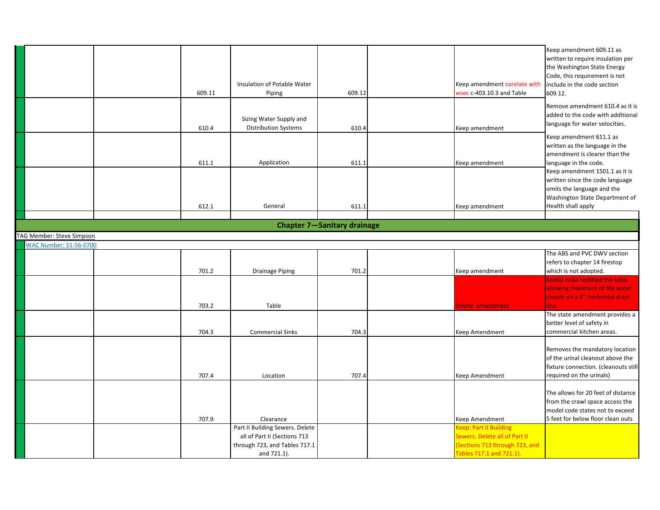|                               |        |                                 |                                    |                                | Keep amendment 609.11 as             |
|-------------------------------|--------|---------------------------------|------------------------------------|--------------------------------|--------------------------------------|
|                               |        |                                 |                                    |                                | written to require insulation per    |
|                               |        |                                 |                                    |                                | the Washington State Energy          |
|                               |        |                                 |                                    |                                | Code, this requirement is not        |
|                               |        | Insulation of Potable Water     |                                    | Keep amendment corelate with   | include in the code section          |
|                               | 609.11 | Piping                          | 609.12                             | wsec c-403.10.3 and Table      | 609.12.                              |
|                               |        |                                 |                                    |                                | Remove amendment 610.4 as it is      |
|                               |        | Sizing Water Supply and         |                                    |                                | added to the code with additional    |
|                               | 610.4  | <b>Distribution Systems</b>     | 610.4                              | Keep amendment                 | language for water velocities.       |
|                               |        |                                 |                                    |                                | Keep amendment 611.1 as              |
|                               |        |                                 |                                    |                                | written as the language in the       |
|                               |        |                                 |                                    |                                | amendment is clearer than the        |
|                               | 611.1  | Application                     | 611.1                              | Keep amendment                 | language in the code.                |
|                               |        |                                 |                                    |                                | Keep amendment 1501.1 as it is       |
|                               |        |                                 |                                    |                                | written since the code language      |
|                               |        |                                 |                                    |                                | omits the language and the           |
|                               |        |                                 |                                    |                                | Washington State Department of       |
|                               | 612.1  | General                         | 611.1                              | Keep amendment                 | Health shall apply                   |
|                               |        |                                 | <b>Chapter 7-Sanitary drainage</b> |                                |                                      |
|                               |        |                                 |                                    |                                |                                      |
| TAG Member: Steve Simpson     |        |                                 |                                    |                                |                                      |
| <b>WAC Number: 51-56-0700</b> |        |                                 |                                    |                                | The ABS and PVC DWV section          |
|                               |        |                                 |                                    |                                | refers to chapter 14 firestop        |
|                               | 701.2  | <b>Drainage Piping</b>          | 701.2                              | Keep amendment                 | which is not adopted.                |
|                               |        |                                 |                                    |                                | Model code rectified the table       |
|                               |        |                                 |                                    |                                | allowing maximum of fife water       |
|                               |        |                                 |                                    |                                | closets on a 3" horizontal drain     |
|                               | 703.2  | Table                           |                                    | Delete amendment               | line.                                |
|                               |        |                                 |                                    |                                | The state amendment provides a       |
|                               |        |                                 |                                    |                                | better level of safety in            |
|                               | 704.3  | <b>Commercial Sinks</b>         | 704.3                              | Keep Amendment                 | commercial kitchen areas.            |
|                               |        |                                 |                                    |                                |                                      |
|                               |        |                                 |                                    |                                | Removes the mandatory location       |
|                               |        |                                 |                                    |                                | of the urinal cleanout above the     |
|                               |        |                                 |                                    |                                | fixture connection. (cleanouts still |
|                               | 707.4  | Location                        | 707.4                              | Keep Amendment                 | required on the urinals)             |
|                               |        |                                 |                                    |                                | The allows for 20 feet of distance   |
|                               |        |                                 |                                    |                                | from the crawl space access the      |
|                               |        |                                 |                                    |                                | model code states not to exceed      |
|                               | 707.9  | Clearance                       |                                    | Keep Amendment                 | 5 feet for below floor clean outs    |
|                               |        | Part II Building Sewers. Delete |                                    | Keep: Part II Building         |                                      |
|                               |        | all of Part II (Sections 713    |                                    | Sewers. Delete all of Part II  |                                      |
|                               |        |                                 |                                    |                                |                                      |
|                               |        | through 723, and Tables 717.1   |                                    | (Sections 713 through 723, and |                                      |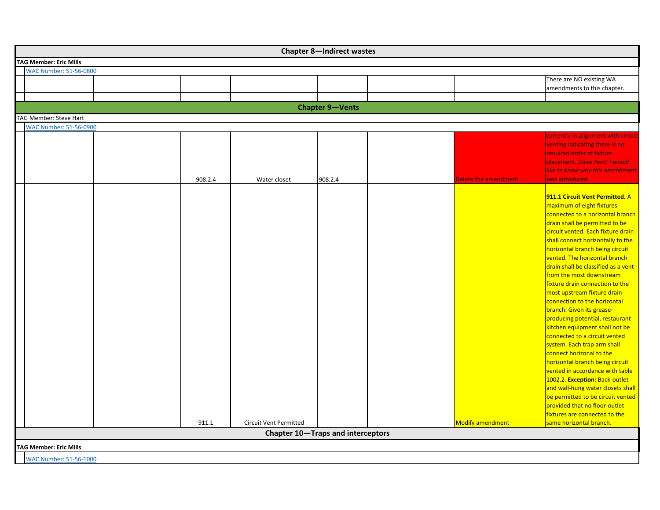| <b>Chapter 8-Indirect wastes</b> |                        |         |                                   |         |  |                         |                                                                                                                                                                                                                                                                                                                                                                                                                                                                                                                                                                                                                                                                                                                                                                                                                                                                                                          |  |  |
|----------------------------------|------------------------|---------|-----------------------------------|---------|--|-------------------------|----------------------------------------------------------------------------------------------------------------------------------------------------------------------------------------------------------------------------------------------------------------------------------------------------------------------------------------------------------------------------------------------------------------------------------------------------------------------------------------------------------------------------------------------------------------------------------------------------------------------------------------------------------------------------------------------------------------------------------------------------------------------------------------------------------------------------------------------------------------------------------------------------------|--|--|
| <b>TAG Member: Eric Mills</b>    |                        |         |                                   |         |  |                         |                                                                                                                                                                                                                                                                                                                                                                                                                                                                                                                                                                                                                                                                                                                                                                                                                                                                                                          |  |  |
| <b>WAC Number: 51-56-0800</b>    |                        |         |                                   |         |  |                         |                                                                                                                                                                                                                                                                                                                                                                                                                                                                                                                                                                                                                                                                                                                                                                                                                                                                                                          |  |  |
|                                  |                        |         |                                   |         |  |                         | There are NO existing WA<br>amendments to this chapter.                                                                                                                                                                                                                                                                                                                                                                                                                                                                                                                                                                                                                                                                                                                                                                                                                                                  |  |  |
|                                  |                        |         |                                   |         |  |                         |                                                                                                                                                                                                                                                                                                                                                                                                                                                                                                                                                                                                                                                                                                                                                                                                                                                                                                          |  |  |
|                                  | <b>Chapter 9-Vents</b> |         |                                   |         |  |                         |                                                                                                                                                                                                                                                                                                                                                                                                                                                                                                                                                                                                                                                                                                                                                                                                                                                                                                          |  |  |
| TAG Member: Steve Hart           |                        |         |                                   |         |  |                         |                                                                                                                                                                                                                                                                                                                                                                                                                                                                                                                                                                                                                                                                                                                                                                                                                                                                                                          |  |  |
| <b>WAC Number: 51-56-0900</b>    |                        |         |                                   |         |  |                         |                                                                                                                                                                                                                                                                                                                                                                                                                                                                                                                                                                                                                                                                                                                                                                                                                                                                                                          |  |  |
|                                  |                        | 908.2.4 | Water closet                      | 908.2.4 |  | Delete the amendment    | currently in alignment with circuit<br>venting indicating there is no<br>required order of fixture<br>placement. Steve Hart: I would<br>like to know why this amendment<br>was introduced                                                                                                                                                                                                                                                                                                                                                                                                                                                                                                                                                                                                                                                                                                                |  |  |
|                                  |                        |         |                                   |         |  |                         | 911.1 Circuit Vent Permitted. A<br>maximum of eight fixtures<br>connected to a horizontal branch<br>drain shall be permitted to be<br>circuit vented. Each fixture drain<br>shall connect horizontally to the<br>horizontal branch being circuit<br>vented. The horizontal branch<br>drain shall be classified as a vent<br>from the most downstream<br>fixture drain connection to the<br>most upstream fixture drain<br>connection to the horizontal<br>branch. Given its grease-<br>producing potential, restaurant<br>kitchen equipment shall not be<br>connected to a circuit vented<br>system. Each trap arm shall<br>connect horizonal to the<br>horizontal branch being circuit<br>vented in accordance with table<br>1002.2. Exception: Back-outlet<br>and wall-hung water closets shall<br>be permitted to be circuit vented<br>provided that no floor-outlet<br>fixtures are connected to the |  |  |
|                                  |                        | 911.1   | <b>Circuit Vent Permitted</b>     |         |  | <b>Modify amendment</b> | same horizontal branch.                                                                                                                                                                                                                                                                                                                                                                                                                                                                                                                                                                                                                                                                                                                                                                                                                                                                                  |  |  |
|                                  |                        |         | Chapter 10-Traps and interceptors |         |  |                         |                                                                                                                                                                                                                                                                                                                                                                                                                                                                                                                                                                                                                                                                                                                                                                                                                                                                                                          |  |  |
| <b>TAG Member: Eric Mills</b>    |                        |         |                                   |         |  |                         |                                                                                                                                                                                                                                                                                                                                                                                                                                                                                                                                                                                                                                                                                                                                                                                                                                                                                                          |  |  |
| <b>WAC Number: 51-56-1000</b>    |                        |         |                                   |         |  |                         |                                                                                                                                                                                                                                                                                                                                                                                                                                                                                                                                                                                                                                                                                                                                                                                                                                                                                                          |  |  |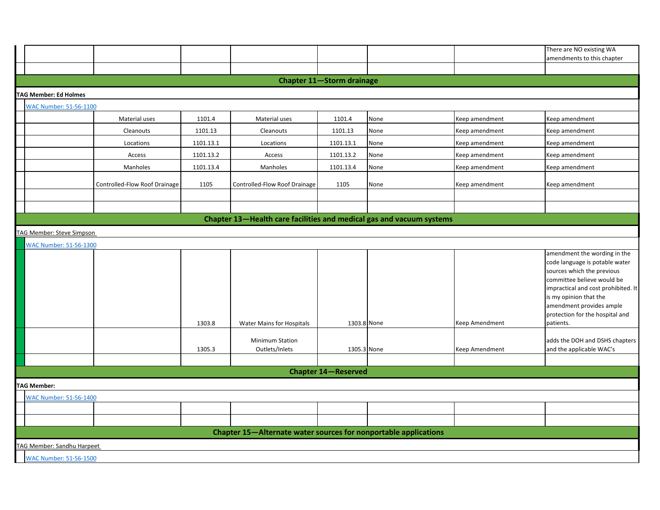|                                                                      |                               |           |                                                                 |                                  |      |                | There are NO existing WA                                                                                                                                                                                                                                                |  |  |  |
|----------------------------------------------------------------------|-------------------------------|-----------|-----------------------------------------------------------------|----------------------------------|------|----------------|-------------------------------------------------------------------------------------------------------------------------------------------------------------------------------------------------------------------------------------------------------------------------|--|--|--|
|                                                                      |                               |           |                                                                 |                                  |      |                | amendments to this chapter                                                                                                                                                                                                                                              |  |  |  |
|                                                                      |                               |           |                                                                 |                                  |      |                |                                                                                                                                                                                                                                                                         |  |  |  |
|                                                                      |                               |           |                                                                 | <b>Chapter 11-Storm drainage</b> |      |                |                                                                                                                                                                                                                                                                         |  |  |  |
| <b>TAG Member: Ed Holmes</b>                                         |                               |           |                                                                 |                                  |      |                |                                                                                                                                                                                                                                                                         |  |  |  |
| <b>WAC Number: 51-56-1100</b>                                        |                               |           |                                                                 |                                  |      |                |                                                                                                                                                                                                                                                                         |  |  |  |
|                                                                      | Material uses                 | 1101.4    | Material uses                                                   | 1101.4                           | None | Keep amendment | Keep amendment                                                                                                                                                                                                                                                          |  |  |  |
|                                                                      | Cleanouts                     | 1101.13   | Cleanouts                                                       | 1101.13                          | None | Keep amendment | Keep amendment                                                                                                                                                                                                                                                          |  |  |  |
|                                                                      | Locations                     | 1101.13.1 | Locations                                                       | 1101.13.1                        | None | Keep amendment | Keep amendment                                                                                                                                                                                                                                                          |  |  |  |
|                                                                      | Access                        | 1101.13.2 | Access                                                          | 1101.13.2                        | None | Keep amendment | Keep amendment                                                                                                                                                                                                                                                          |  |  |  |
|                                                                      | Manholes                      | 1101.13.4 | Manholes                                                        | 1101.13.4                        | None | Keep amendment | Keep amendment                                                                                                                                                                                                                                                          |  |  |  |
|                                                                      | Controlled-Flow Roof Drainage | 1105      | Controlled-Flow Roof Drainage                                   | 1105                             | None | Keep amendment | Keep amendment                                                                                                                                                                                                                                                          |  |  |  |
|                                                                      |                               |           |                                                                 |                                  |      |                |                                                                                                                                                                                                                                                                         |  |  |  |
|                                                                      |                               |           |                                                                 |                                  |      |                |                                                                                                                                                                                                                                                                         |  |  |  |
| Chapter 13-Health care facilities and medical gas and vacuum systems |                               |           |                                                                 |                                  |      |                |                                                                                                                                                                                                                                                                         |  |  |  |
| TAG Member: Steve Simpson                                            |                               |           |                                                                 |                                  |      |                |                                                                                                                                                                                                                                                                         |  |  |  |
| <b>WAC Number: 51-56-1300</b>                                        |                               |           |                                                                 |                                  |      |                |                                                                                                                                                                                                                                                                         |  |  |  |
|                                                                      |                               | 1303.8    | Water Mains for Hospitals                                       | 1303.8 None                      |      | Keep Amendment | amendment the wording in the<br>code language is potable water<br>sources which the previous<br>committee believe would be<br>impractical and cost prohibited. It<br>is my opinion that the<br>amendment provides ample<br>protection for the hospital and<br>patients. |  |  |  |
|                                                                      |                               | 1305.3    | <b>Minimum Station</b><br>Outlets/Inlets                        | 1305.3 None                      |      | Keep Amendment | adds the DOH and DSHS chapters<br>and the applicable WAC's                                                                                                                                                                                                              |  |  |  |
|                                                                      |                               |           |                                                                 |                                  |      |                |                                                                                                                                                                                                                                                                         |  |  |  |
|                                                                      |                               |           |                                                                 | <b>Chapter 14-Reserved</b>       |      |                |                                                                                                                                                                                                                                                                         |  |  |  |
| <b>TAG Member:</b>                                                   |                               |           |                                                                 |                                  |      |                |                                                                                                                                                                                                                                                                         |  |  |  |
| <b>WAC Number: 51-56-1400</b>                                        |                               |           |                                                                 |                                  |      |                |                                                                                                                                                                                                                                                                         |  |  |  |
|                                                                      |                               |           |                                                                 |                                  |      |                |                                                                                                                                                                                                                                                                         |  |  |  |
|                                                                      |                               |           |                                                                 |                                  |      |                |                                                                                                                                                                                                                                                                         |  |  |  |
|                                                                      |                               |           | Chapter 15-Alternate water sources for nonportable applications |                                  |      |                |                                                                                                                                                                                                                                                                         |  |  |  |
| <b>TAG Member: Sandhu Harpeet</b>                                    |                               |           |                                                                 |                                  |      |                |                                                                                                                                                                                                                                                                         |  |  |  |
| <b>WAC Number: 51-56-1500</b>                                        |                               |           |                                                                 |                                  |      |                |                                                                                                                                                                                                                                                                         |  |  |  |
|                                                                      |                               |           |                                                                 |                                  |      |                |                                                                                                                                                                                                                                                                         |  |  |  |